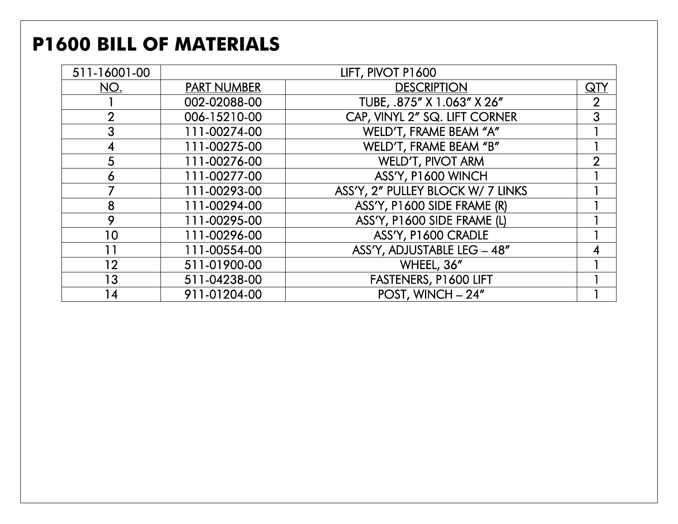### **P1600 BILL OF MATERIALS**

| 511-16001-00   |                    | LIFT, PIVOT P1600                 |                         |
|----------------|--------------------|-----------------------------------|-------------------------|
| NO.            | <b>PART NUMBER</b> | <b>DESCRIPTION</b>                | $\overline{\text{QTV}}$ |
|                | 002-02088-00       | TUBE, .875" X 1.063" X 26"        | $\overline{2}$          |
| $\overline{2}$ | 006-15210-00       | CAP, VINYL 2" SQ. LIFT CORNER     | 3                       |
| 3              | 111-00274-00       | WELD'T, FRAME BEAM "A"            |                         |
| 4              | 111-00275-00       | WELD'T, FRAME BEAM "B"            |                         |
| 5              | 111-00276-00       | <b>WELD'T, PIVOT ARM</b>          | $\overline{2}$          |
| 6              | 111-00277-00       | ASS'Y, P1600 WINCH                |                         |
|                | 111-00293-00       | ASS'Y, 2" PULLEY BLOCK W/ 7 LINKS |                         |
| 8              | 111-00294-00       | ASS'Y, P1600 SIDE FRAME (R)       |                         |
| 9              | 111-00295-00       | ASS'Y, P1600 SIDE FRAME (L)       |                         |
| 10             | 111-00296-00       | ASS'Y, P1600 CRADLE               |                         |
| 11             | 111-00554-00       | ASS'Y, ADJUSTABLE LEG - 48"       |                         |
| 12             | 511-01900-00       | WHEEL, 36"                        |                         |
| 13             | 511-04238-00       | FASTENERS, P1600 LIFT             |                         |
| 14             | 911-01204-00       | POST, WINCH - 24"                 |                         |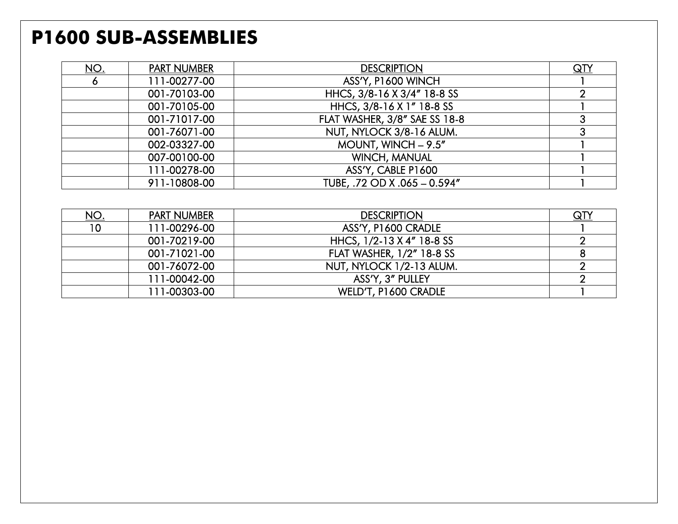#### **P1600 SUB-ASSEMBLIES**

| <u>NO.</u> | <b>PART NUMBER</b> | <b>DESCRIPTION</b>            | $\overline{\mathsf{Q}\mathsf{T}}$ |
|------------|--------------------|-------------------------------|-----------------------------------|
| O          | 111-00277-00       | ASS'Y, P1600 WINCH            |                                   |
|            | 001-70103-00       | HHCS, 3/8-16 X 3/4" 18-8 SS   |                                   |
|            | 001-70105-00       | HHCS, 3/8-16 X 1" 18-8 SS     |                                   |
|            | 001-71017-00       | FLAT WASHER, 3/8" SAE SS 18-8 |                                   |
|            | 001-76071-00       | NUT, NYLOCK 3/8-16 ALUM.      |                                   |
|            | 002-03327-00       | MOUNT, WINCH $- 9.5''$        |                                   |
|            | 007-00100-00       | <b>WINCH, MANUAL</b>          |                                   |
|            | 111-00278-00       | ASS'Y, CABLE P1600            |                                   |
|            | 911-10808-00       | TUBE, .72 OD X .065 - 0.594"  |                                   |

| <u>NO.</u>      | <b>PART NUMBER</b> | <b>DESCRIPTION</b>               | $\overline{\mathsf{Q} \Gamma}$ |
|-----------------|--------------------|----------------------------------|--------------------------------|
| 10 <sup>°</sup> | 111-00296-00       | ASS'Y, P1600 CRADLE              |                                |
|                 | 001-70219-00       | HHCS, 1/2-13 X 4" 18-8 SS        |                                |
|                 | 001-71021-00       | <b>FLAT WASHER, 1/2" 18-8 SS</b> |                                |
|                 | 001-76072-00       | NUT, NYLOCK 1/2-13 ALUM.         |                                |
|                 | 111-00042-00       | ASS'Y, 3" PULLEY                 |                                |
|                 | 111-00303-00       | WELD'T, P1600 CRADLE             |                                |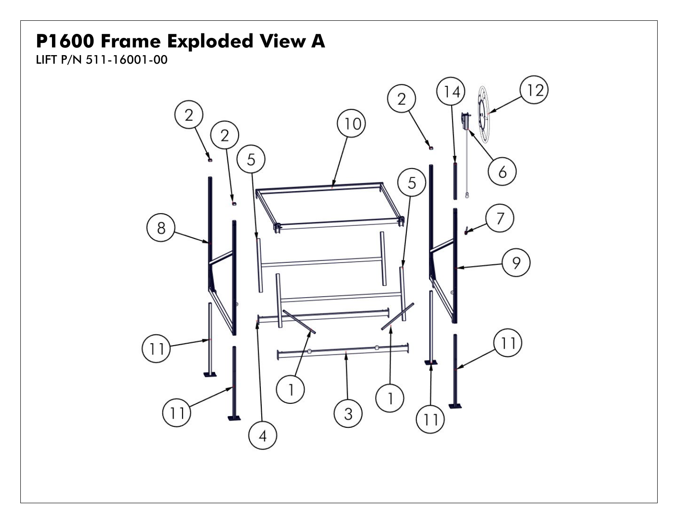#### **P1600 Frame Exploded View A**

LIFT P/N 511-16001-00

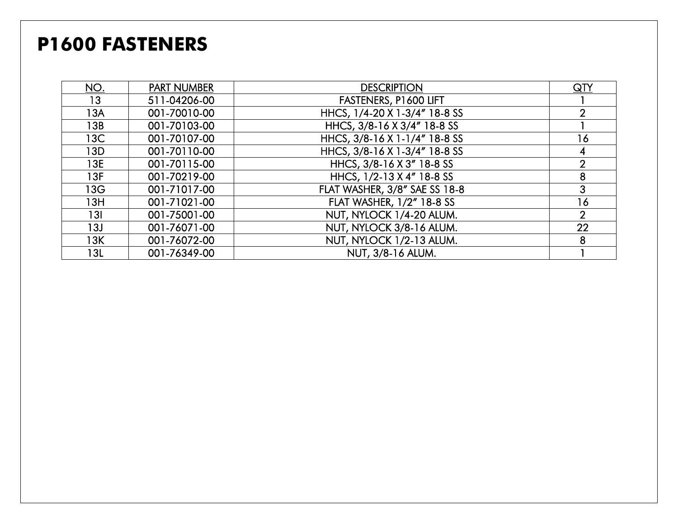### **P1600 FASTENERS**

| <u>NO.</u> | <b>PART NUMBER</b> | <b>DESCRIPTION</b>            | $\overline{\mathsf{Q}\mathsf{T}}$ |
|------------|--------------------|-------------------------------|-----------------------------------|
| 13         | 511-04206-00       | FASTENERS, P1600 LIFT         |                                   |
| 13A        | 001-70010-00       | HHCS, 1/4-20 X 1-3/4" 18-8 SS | $\overline{2}$                    |
| 13B        | 001-70103-00       | HHCS, 3/8-16 X 3/4" 18-8 SS   |                                   |
| 13C        | 001-70107-00       | HHCS, 3/8-16 X 1-1/4" 18-8 SS | 16                                |
| 13D        | 001-70110-00       | HHCS, 3/8-16 X 1-3/4" 18-8 SS |                                   |
| 13E        | 001-70115-00       | HHCS, 3/8-16 X 3" 18-8 SS     | $\overline{2}$                    |
| 13F        | 001-70219-00       | HHCS, 1/2-13 X 4" 18-8 SS     | 8                                 |
| 13G        | 001-71017-00       | FLAT WASHER, 3/8" SAE SS 18-8 | 3                                 |
| 13H        | 001-71021-00       | FLAT WASHER, 1/2" 18-8 SS     | 16                                |
| 13I        | 001-75001-00       | NUT, NYLOCK 1/4-20 ALUM.      | $\overline{2}$                    |
| 13J        | 001-76071-00       | NUT, NYLOCK 3/8-16 ALUM.      | 22                                |
| 13K        | 001-76072-00       | NUT, NYLOCK 1/2-13 ALUM.      | 8                                 |
| 13L        | 001-76349-00       | NUT, 3/8-16 ALUM.             |                                   |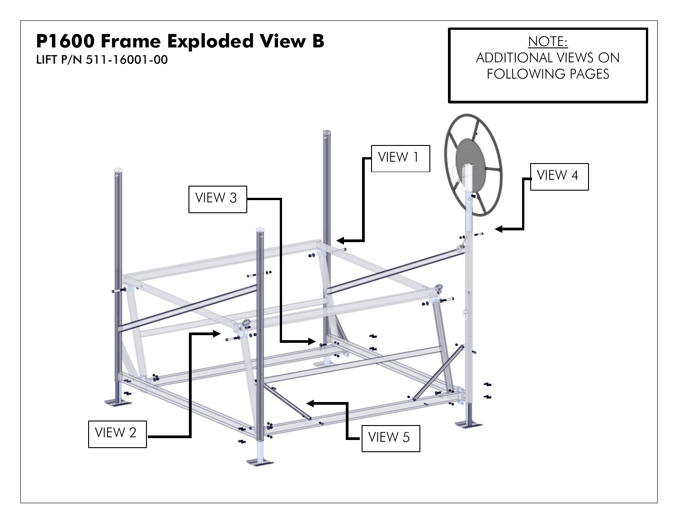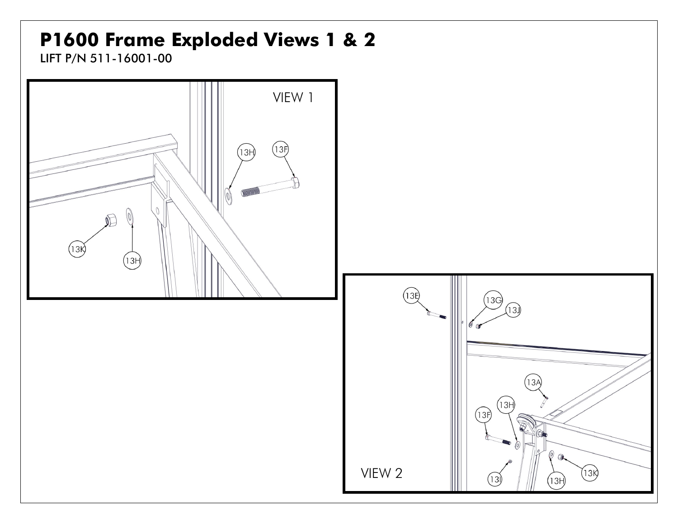# **P1600 Frame Exploded Views 1 & 2**

LIFT P/N 511-16001-00